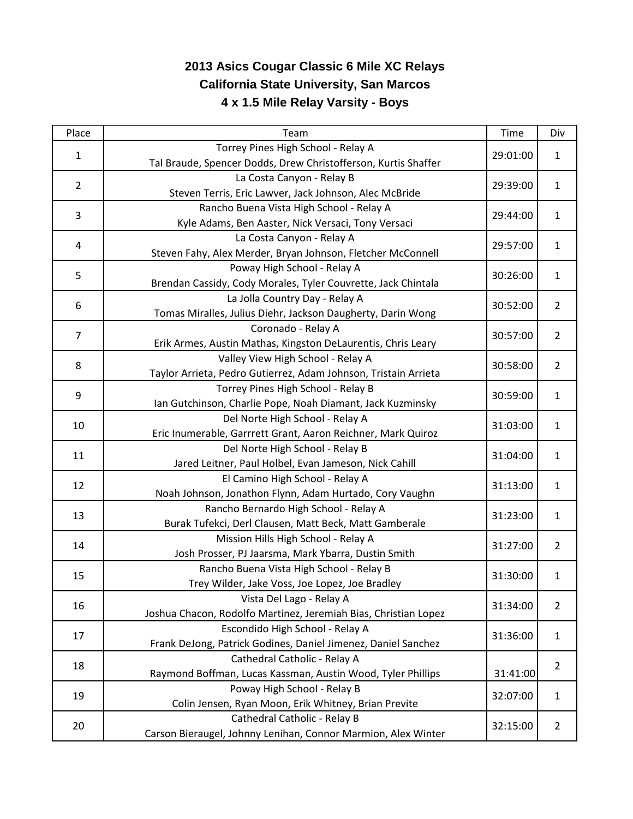## **2013 Asics Cougar Classic 6 Mile XC Relays California State University, San Marcos 4 x 1.5 Mile Relay Varsity - Boys**

| Place          | Team                                                            | <b>Time</b> | Div            |
|----------------|-----------------------------------------------------------------|-------------|----------------|
| $\mathbf{1}$   | Torrey Pines High School - Relay A                              | 29:01:00    | $\mathbf{1}$   |
|                | Tal Braude, Spencer Dodds, Drew Christofferson, Kurtis Shaffer  |             |                |
| $\overline{2}$ | La Costa Canyon - Relay B                                       | 29:39:00    | $\mathbf{1}$   |
|                | Steven Terris, Eric Lawver, Jack Johnson, Alec McBride          |             |                |
| 3              | Rancho Buena Vista High School - Relay A                        | 29:44:00    | $\mathbf{1}$   |
|                | Kyle Adams, Ben Aaster, Nick Versaci, Tony Versaci              |             |                |
| 4              | La Costa Canyon - Relay A                                       | 29:57:00    | $\mathbf{1}$   |
|                | Steven Fahy, Alex Merder, Bryan Johnson, Fletcher McConnell     |             |                |
| 5              | Poway High School - Relay A                                     | 30:26:00    | $\mathbf{1}$   |
|                | Brendan Cassidy, Cody Morales, Tyler Couvrette, Jack Chintala   |             |                |
| 6              | La Jolla Country Day - Relay A                                  | 30:52:00    | $\overline{2}$ |
|                | Tomas Miralles, Julius Diehr, Jackson Daugherty, Darin Wong     |             |                |
| $\overline{7}$ | Coronado - Relay A                                              | 30:57:00    | $\overline{2}$ |
|                | Erik Armes, Austin Mathas, Kingston DeLaurentis, Chris Leary    |             |                |
| 8              | Valley View High School - Relay A                               | 30:58:00    | $\overline{2}$ |
|                | Taylor Arrieta, Pedro Gutierrez, Adam Johnson, Tristain Arrieta |             |                |
| 9              | Torrey Pines High School - Relay B                              | 30:59:00    | $\mathbf{1}$   |
|                | Ian Gutchinson, Charlie Pope, Noah Diamant, Jack Kuzminsky      |             |                |
| 10             | Del Norte High School - Relay A                                 | 31:03:00    | $\mathbf{1}$   |
|                | Eric Inumerable, Garrrett Grant, Aaron Reichner, Mark Quiroz    |             |                |
| 11             | Del Norte High School - Relay B                                 | 31:04:00    | $\mathbf{1}$   |
|                | Jared Leitner, Paul Holbel, Evan Jameson, Nick Cahill           |             |                |
| 12             | El Camino High School - Relay A                                 | 31:13:00    | $\mathbf{1}$   |
|                | Noah Johnson, Jonathon Flynn, Adam Hurtado, Cory Vaughn         |             |                |
| 13             | Rancho Bernardo High School - Relay A                           | 31:23:00    | $\mathbf{1}$   |
|                | Burak Tufekci, Derl Clausen, Matt Beck, Matt Gamberale          |             |                |
| 14             | Mission Hills High School - Relay A                             | 31:27:00    | $\overline{2}$ |
|                | Josh Prosser, PJ Jaarsma, Mark Ybarra, Dustin Smith             |             |                |
| 15             | Rancho Buena Vista High School - Relay B                        | 31:30:00    | $\mathbf{1}$   |
|                | Trey Wilder, Jake Voss, Joe Lopez, Joe Bradley                  |             |                |
| 16             | Vista Del Lago - Relay A                                        | 31:34:00    | $\overline{2}$ |
|                | Joshua Chacon, Rodolfo Martinez, Jeremiah Bias, Christian Lopez |             |                |
| 17             | Escondido High School - Relay A                                 | 31:36:00    | $\mathbf{1}$   |
|                | Frank DeJong, Patrick Godines, Daniel Jimenez, Daniel Sanchez   |             |                |
| 18             | Cathedral Catholic - Relay A                                    |             | $\overline{2}$ |
|                | Raymond Boffman, Lucas Kassman, Austin Wood, Tyler Phillips     | 31:41:00    |                |
| 19             | Poway High School - Relay B                                     | 32:07:00    | $\mathbf{1}$   |
|                | Colin Jensen, Ryan Moon, Erik Whitney, Brian Previte            |             |                |
| 20             | Cathedral Catholic - Relay B                                    | 32:15:00    | $\overline{2}$ |
|                | Carson Bieraugel, Johnny Lenihan, Connor Marmion, Alex Winter   |             |                |